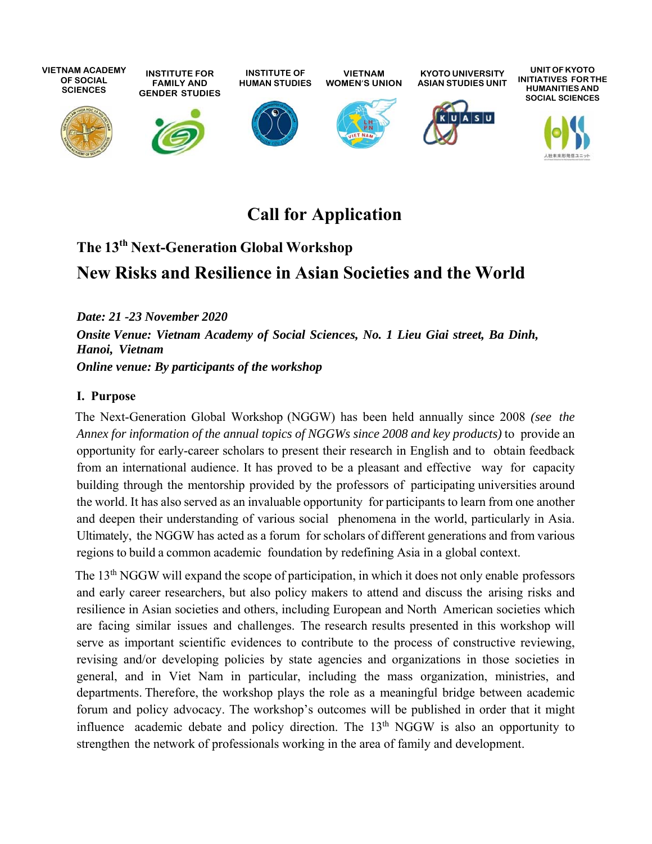

# **Call for Application**

# **The 13th Next-Generation Global Workshop**

# **New Risks and Resilience in Asian Societies and the World**

*Date: 21 -23 November 2020 Onsite Venue: Vietnam Academy of Social Sciences, No. 1 Lieu Giai street, Ba Dinh, Hanoi, Vietnam Online venue: By participants of the workshop* 

#### **I. Purpose**

The Next-Generation Global Workshop (NGGW) has been held annually since 2008 *(see the Annex for information of the annual topics of NGGWs since 2008 and key products)* to provide an opportunity for early-career scholars to present their research in English and to obtain feedback from an international audience. It has proved to be a pleasant and effective way for capacity building through the mentorship provided by the professors of participating universities around the world. It has also served as an invaluable opportunity for participants to learn from one another and deepen their understanding of various social phenomena in the world, particularly in Asia. Ultimately, the NGGW has acted as a forum for scholars of different generations and from various regions to build a common academic foundation by redefining Asia in a global context.

The 13<sup>th</sup> NGGW will expand the scope of participation, in which it does not only enable professors and early career researchers, but also policy makers to attend and discuss the arising risks and resilience in Asian societies and others, including European and North American societies which are facing similar issues and challenges. The research results presented in this workshop will serve as important scientific evidences to contribute to the process of constructive reviewing, revising and/or developing policies by state agencies and organizations in those societies in general, and in Viet Nam in particular, including the mass organization, ministries, and departments. Therefore, the workshop plays the role as a meaningful bridge between academic forum and policy advocacy. The workshop's outcomes will be published in order that it might influence academic debate and policy direction. The  $13<sup>th</sup>$  NGGW is also an opportunity to strengthen the network of professionals working in the area of family and development.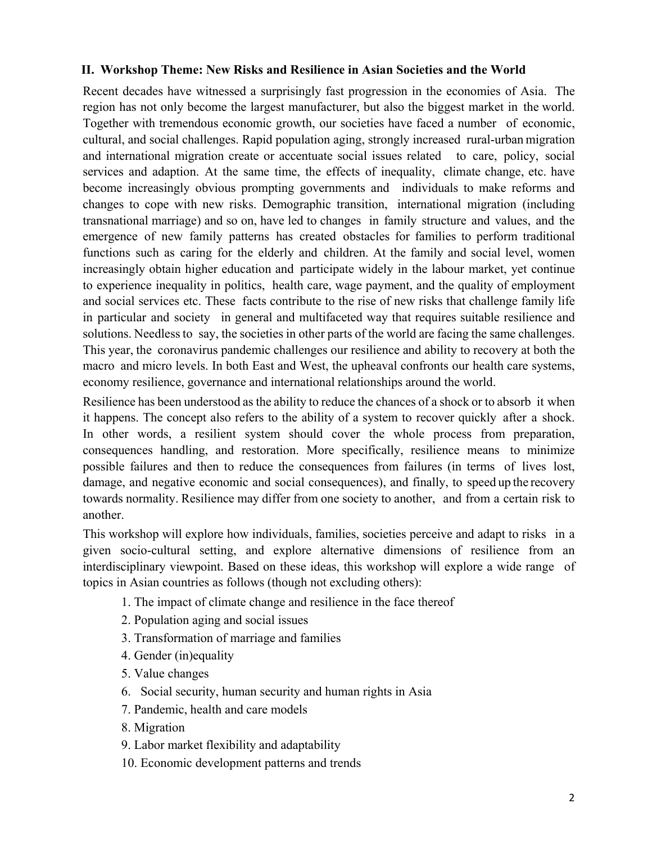#### **II. Workshop Theme: New Risks and Resilience in Asian Societies and the World**

Recent decades have witnessed a surprisingly fast progression in the economies of Asia. The region has not only become the largest manufacturer, but also the biggest market in the world. Together with tremendous economic growth, our societies have faced a number of economic, cultural, and social challenges. Rapid population aging, strongly increased rural-urban migration and international migration create or accentuate social issues related to care, policy, social services and adaption. At the same time, the effects of inequality, climate change, etc. have become increasingly obvious prompting governments and individuals to make reforms and changes to cope with new risks. Demographic transition, international migration (including transnational marriage) and so on, have led to changes in family structure and values, and the emergence of new family patterns has created obstacles for families to perform traditional functions such as caring for the elderly and children. At the family and social level, women increasingly obtain higher education and participate widely in the labour market, yet continue to experience inequality in politics, health care, wage payment, and the quality of employment and social services etc. These facts contribute to the rise of new risks that challenge family life in particular and society in general and multifaceted way that requires suitable resilience and solutions. Needless to say, the societies in other parts of the world are facing the same challenges. This year, the coronavirus pandemic challenges our resilience and ability to recovery at both the macro and micro levels. In both East and West, the upheaval confronts our health care systems, economy resilience, governance and international relationships around the world.

Resilience has been understood as the ability to reduce the chances of a shock or to absorb it when it happens. The concept also refers to the ability of a system to recover quickly after a shock. In other words, a resilient system should cover the whole process from preparation, consequences handling, and restoration. More specifically, resilience means to minimize possible failures and then to reduce the consequences from failures (in terms of lives lost, damage, and negative economic and social consequences), and finally, to speed up the recovery towards normality. Resilience may differ from one society to another, and from a certain risk to another.

This workshop will explore how individuals, families, societies perceive and adapt to risks in a given socio-cultural setting, and explore alternative dimensions of resilience from an interdisciplinary viewpoint. Based on these ideas, this workshop will explore a wide range of topics in Asian countries as follows (though not excluding others):

- 1. The impact of climate change and resilience in the face thereof
- 2. Population aging and social issues
- 3. Transformation of marriage and families
- 4. Gender (in)equality
- 5. Value changes
- 6. Social security, human security and human rights in Asia
- 7. Pandemic, health and care models
- 8. Migration
- 9. Labor market flexibility and adaptability
- 10. Economic development patterns and trends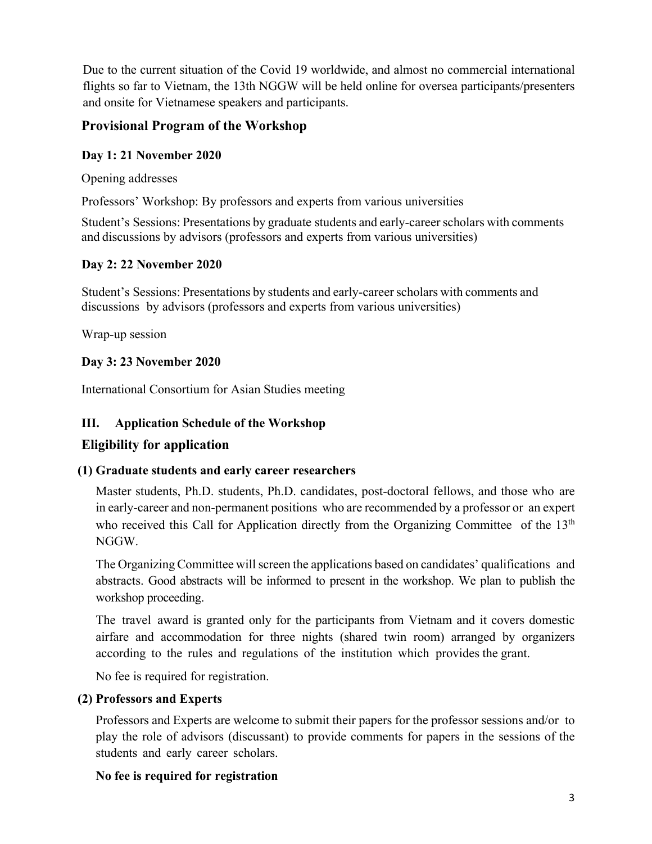Due to the current situation of the Covid 19 worldwide, and almost no commercial international flights so far to Vietnam, the 13th NGGW will be held online for oversea participants/presenters and onsite for Vietnamese speakers and participants.

## **Provisional Program of the Workshop**

#### **Day 1: 21 November 2020**

Opening addresses

Professors' Workshop: By professors and experts from various universities

Student's Sessions: Presentations by graduate students and early-career scholars with comments and discussions by advisors (professors and experts from various universities)

### **Day 2: 22 November 2020**

Student's Sessions: Presentations by students and early-career scholars with comments and discussions by advisors (professors and experts from various universities)

Wrap-up session

### **Day 3: 23 November 2020**

International Consortium for Asian Studies meeting

### **III. Application Schedule of the Workshop**

# **Eligibility for application**

### **(1) Graduate students and early career researchers**

Master students, Ph.D. students, Ph.D. candidates, post-doctoral fellows, and those who are in early-career and non-permanent positions who are recommended by a professor or an expert who received this Call for Application directly from the Organizing Committee of the  $13<sup>th</sup>$ NGGW.

The Organizing Committee will screen the applications based on candidates' qualifications and abstracts. Good abstracts will be informed to present in the workshop. We plan to publish the workshop proceeding.

The travel award is granted only for the participants from Vietnam and it covers domestic airfare and accommodation for three nights (shared twin room) arranged by organizers according to the rules and regulations of the institution which provides the grant.

No fee is required for registration.

### **(2) Professors and Experts**

Professors and Experts are welcome to submit their papers for the professor sessions and/or to play the role of advisors (discussant) to provide comments for papers in the sessions of the students and early career scholars.

#### **No fee is required for registration**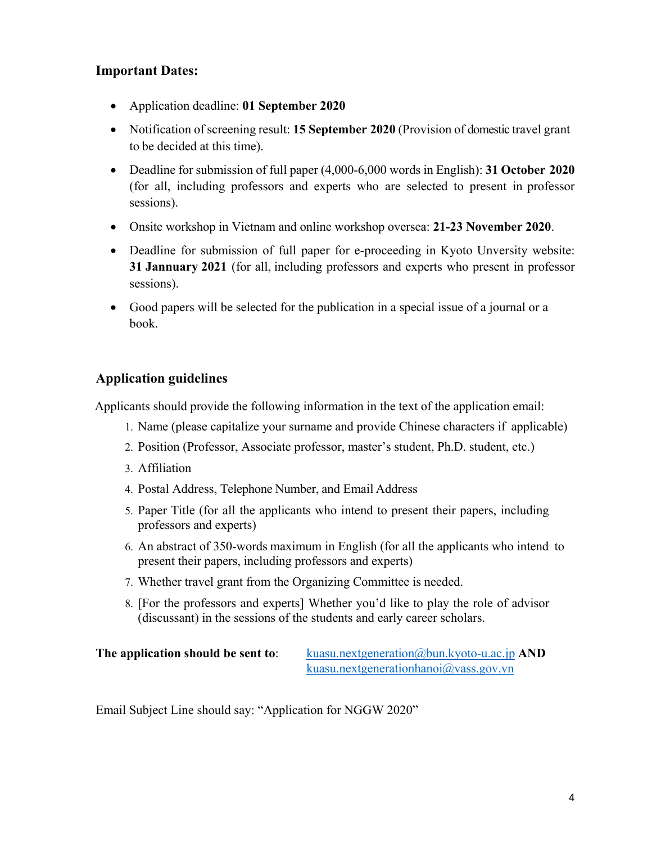### **Important Dates:**

- Application deadline: **01 September 2020**
- Notification of screening result: **15 September 2020** (Provision of domestic travel grant to be decided at this time).
- Deadline for submission of full paper (4,000-6,000 words in English): **31 October 2020** (for all, including professors and experts who are selected to present in professor sessions).
- Onsite workshop in Vietnam and online workshop oversea: **21-23 November 2020**.
- Deadline for submission of full paper for e-proceeding in Kyoto Unversity website: **31 Jannuary 2021** (for all, including professors and experts who present in professor sessions).
- Good papers will be selected for the publication in a special issue of a journal or a book.

## **Application guidelines**

Applicants should provide the following information in the text of the application email:

- 1. Name (please capitalize your surname and provide Chinese characters if applicable)
- 2. Position (Professor, Associate professor, master's student, Ph.D. student, etc.)
- 3. Affiliation
- 4. Postal Address, Telephone Number, and Email Address
- 5. Paper Title (for all the applicants who intend to present their papers, including professors and experts)
- 6. An abstract of 350-words maximum in English (for all the applicants who intend to present their papers, including professors and experts)
- 7. Whether travel grant from the Organizing Committee is needed.
- 8. [For the professors and experts] Whether you'd like to play the role of advisor (discussant) in the sessions of the students and early career scholars.

| The application should be sent to: | kuasu.nextgeneration@bun.kyoto-u.ac.jp $AND$   |
|------------------------------------|------------------------------------------------|
|                                    | kuasu.nextgenerationhanoi $\omega$ vass.gov.vn |

Email Subject Line should say: "Application for NGGW 2020"